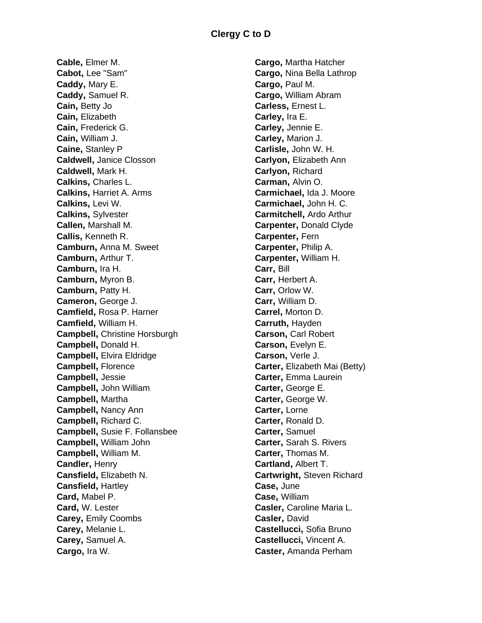**Cable,** Elmer M. **Cabot,** Lee "Sam" **Caddy,** Mary E. **Caddy,** Samuel R. **Cain,** Betty Jo **Cain,** Elizabeth **Cain,** Frederick G. **Cain,** William J. **Caine,** Stanley P **Caldwell,** Janice Closson **Caldwell,** Mark H. **Calkins,** Charles L. **Calkins,** Harriet A. Arms **Calkins,** Levi W. **Calkins,** Sylvester **Callen,** Marshall M. **Callis,** Kenneth R. **Camburn,** Anna M. Sweet **Camburn,** Arthur T. **Camburn,** Ira H. **Camburn,** Myron B. **Camburn,** Patty H. **Cameron,** George J. **Camfield,** Rosa P. Harner **Camfield,** William H. **Campbell,** Christine Horsburgh **Campbell,** Donald H. **Campbell,** Elvira Eldridge **Campbell,** Florence **Campbell,** Jessie **Campbell,** John William **Campbell,** Martha **Campbell,** Nancy Ann **Campbell,** Richard C. **Campbell,** Susie F. Follansbee **Campbell,** William John **Campbell,** William M. **Candler,** Henry **Cansfield,** Elizabeth N. **Cansfield,** Hartley **Card,** Mabel P. **Card,** W. Lester **Carey,** Emily Coombs **Carey,** Melanie L. **Carey,** Samuel A. **Cargo,** Ira W.

**Cargo,** Martha Hatcher **Cargo,** Nina Bella Lathrop **Cargo,** Paul M. **Cargo,** William Abram **Carless,** Ernest L. **Carley,** Ira E. **Carley,** Jennie E. **Carley,** Marion J. **Carlisle,** John W. H. **Carlyon,** Elizabeth Ann **Carlyon,** Richard **Carman,** Alvin O. **Carmichael,** Ida J. Moore **Carmichael,** John H. C. **Carmitchell,** Ardo Arthur **Carpenter,** Donald Clyde **Carpenter,** Fern **Carpenter,** Philip A. **Carpenter,** William H. **Carr,** Bill **Carr,** Herbert A. **Carr,** Orlow W. **Carr,** William D. **Carrel,** Morton D. **Carruth,** Hayden **Carson,** Carl Robert **Carson,** Evelyn E. **Carson,** Verle J. **Carter,** Elizabeth Mai (Betty) **Carter,** Emma Laurein **Carter,** George E. **Carter,** George W. **Carter,** Lorne **Carter,** Ronald D. **Carter,** Samuel **Carter,** Sarah S. Rivers **Carter,** Thomas M. **Cartland,** Albert T. **Cartwright,** Steven Richard **Case,** June **Case,** William **Casler,** Caroline Maria L. **Casler,** David **Castellucci,** Sofia Bruno **Castellucci,** Vincent A. **Caster,** Amanda Perham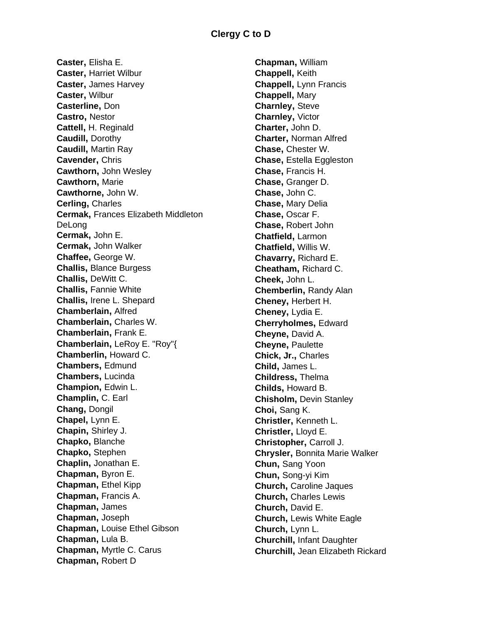**Caster,** Elisha E. **Caster,** Harriet Wilbur **Caster,** James Harvey **Caster,** Wilbur **Casterline,** Don **Castro,** Nestor **Cattell,** H. Reginald **Caudill,** Dorothy **Caudill,** Martin Ray **Cavender,** Chris **Cawthorn,** John Wesley **Cawthorn,** Marie **Cawthorne,** John W. **Cerling,** Charles **Cermak,** Frances Elizabeth Middleton DeLong **Cermak,** John E. **Cermak,** John Walker **Chaffee,** George W. **Challis,** Blance Burgess **Challis,** DeWitt C. **Challis,** Fannie White **Challis,** Irene L. Shepard **Chamberlain,** Alfred **Chamberlain,** Charles W. **Chamberlain,** Frank E. **Chamberlain,** LeRoy E. "Roy"{ **Chamberlin,** Howard C. **Chambers,** Edmund **Chambers,** Lucinda **Champion,** Edwin L. **Champlin,** C. Earl **Chang,** Dongil **Chapel,** Lynn E. **Chapin,** Shirley J. **Chapko,** Blanche **Chapko,** Stephen **Chaplin,** Jonathan E. **Chapman,** Byron E. **Chapman,** Ethel Kipp **Chapman,** Francis A. **Chapman,** James **Chapman,** Joseph **Chapman,** Louise Ethel Gibson **Chapman,** Lula B. **Chapman,** Myrtle C. Carus **Chapman,** Robert D

**Chapman,** William **Chappell,** Keith **Chappell,** Lynn Francis **Chappell,** Mary **Charnley,** Steve **Charnley,** Victor **Charter,** John D. **Charter,** Norman Alfred **Chase,** Chester W. **Chase,** Estella Eggleston **Chase,** Francis H. **Chase,** Granger D. **Chase,** John C. **Chase,** Mary Delia **Chase,** Oscar F. **Chase,** Robert John **Chatfield,** Larmon **Chatfield,** Willis W. **Chavarry,** Richard E. **Cheatham,** Richard C. **Cheek,** John L. **Chemberlin,** Randy Alan **Cheney,** Herbert H. **Cheney,** Lydia E. **Cherryholmes,** Edward **Cheyne,** David A. **Cheyne,** Paulette **Chick, Jr.,** Charles **Child,** James L. **Childress,** Thelma **Childs,** Howard B. **Chisholm,** Devin Stanley **Choi,** Sang K. **Christler,** Kenneth L. **Christler,** Lloyd E. **Christopher,** Carroll J. **Chrysler,** Bonnita Marie Walker **Chun,** Sang Yoon **Chun,** Song-yi Kim **Church,** Caroline Jaques **Church,** Charles Lewis **Church,** David E. **Church,** Lewis White Eagle **Church,** Lynn L. **Churchill,** Infant Daughter **Churchill,** Jean Elizabeth Rickard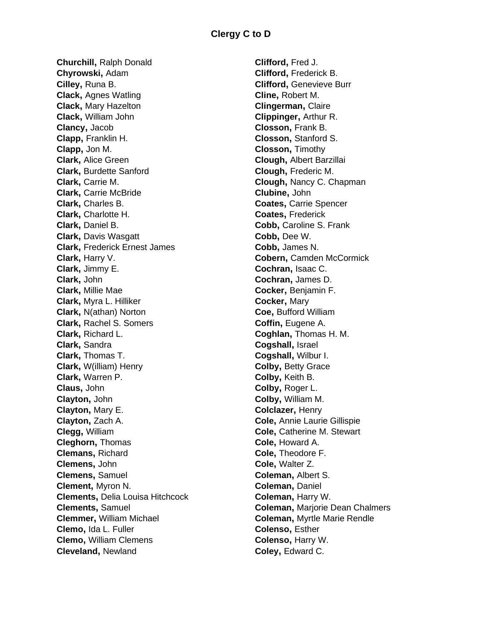**Churchill,** Ralph Donald **Chyrowski,** Adam **Cilley,** Runa B. **Clack,** Agnes Watling **Clack,** Mary Hazelton **Clack,** William John **Clancy,** Jacob **Clapp,** Franklin H. **Clapp,** Jon M. **Clark,** Alice Green **Clark,** Burdette Sanford **Clark,** Carrie M. **Clark,** Carrie McBride **Clark,** Charles B. **Clark,** Charlotte H. **Clark,** Daniel B. **Clark,** Davis Wasgatt **Clark,** Frederick Ernest James **Clark,** Harry V. **Clark,** Jimmy E. **Clark,** John **Clark,** Millie Mae **Clark,** Myra L. Hilliker **Clark,** N(athan) Norton **Clark,** Rachel S. Somers **Clark,** Richard L. **Clark,** Sandra **Clark,** Thomas T. **Clark,** W(illiam) Henry **Clark,** Warren P. **Claus,** John **Clayton,** John **Clayton,** Mary E. **Clayton,** Zach A. **Clegg,** William **Cleghorn,** Thomas **Clemans,** Richard **Clemens,** John **Clemens,** Samuel **Clement,** Myron N. **Clements,** Delia Louisa Hitchcock **Clements,** Samuel **Clemmer,** William Michael **Clemo,** Ida L. Fuller **Clemo,** William Clemens **Cleveland,** Newland

**Clifford,** Fred J. **Clifford,** Frederick B. **Clifford,** Genevieve Burr **Cline,** Robert M. **Clingerman,** Claire **Clippinger,** Arthur R. **Closson,** Frank B. **Closson,** Stanford S. **Closson,** Timothy **Clough,** Albert Barzillai **Clough,** Frederic M. **Clough,** Nancy C. Chapman **Clubine,** John **Coates,** Carrie Spencer **Coates,** Frederick **Cobb,** Caroline S. Frank **Cobb,** Dee W. **Cobb,** James N. **Cobern,** Camden McCormick **Cochran,** Isaac C. **Cochran,** James D. **Cocker,** Benjamin F. **Cocker,** Mary **Coe,** Bufford William **Coffin,** Eugene A. **Coghlan,** Thomas H. M. **Cogshall,** Israel **Cogshall,** Wilbur I. **Colby,** Betty Grace **Colby,** Keith B. **Colby,** Roger L. **Colby,** William M. **Colclazer,** Henry **Cole,** Annie Laurie Gillispie **Cole,** Catherine M. Stewart **Cole,** Howard A. **Cole,** Theodore F. **Cole,** Walter Z. **Coleman,** Albert S. **Coleman,** Daniel **Coleman,** Harry W. **Coleman,** Marjorie Dean Chalmers **Coleman,** Myrtle Marie Rendle **Colenso,** Esther **Colenso,** Harry W. **Coley,** Edward C.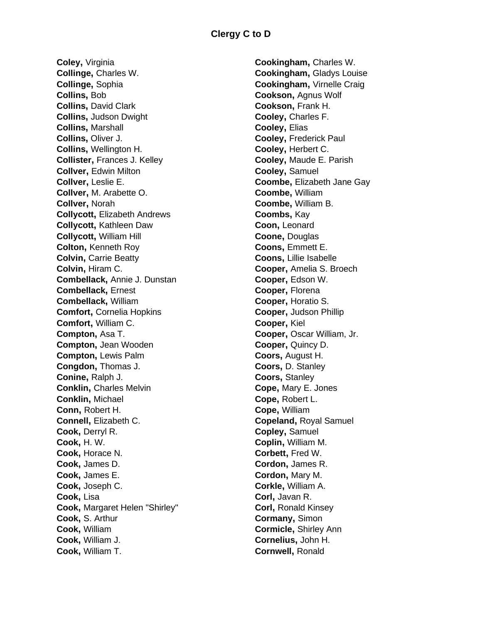**Coley,** Virginia **Collinge,** Charles W. **Collinge,** Sophia **Collins,** Bob **Collins,** David Clark **Collins,** Judson Dwight **Collins,** Marshall **Collins,** Oliver J. **Collins,** Wellington H. **Collister,** Frances J. Kelley **Collver,** Edwin Milton **Collver,** Leslie E. **Collver,** M. Arabette O. **Collver,** Norah **Collycott,** Elizabeth Andrews **Collycott,** Kathleen Daw **Collycott,** William Hill **Colton,** Kenneth Roy **Colvin,** Carrie Beatty **Colvin,** Hiram C. **Combellack,** Annie J. Dunstan **Combellack,** Ernest **Combellack,** William **Comfort,** Cornelia Hopkins **Comfort,** William C. **Compton,** Asa T. **Compton,** Jean Wooden **Compton,** Lewis Palm **Congdon,** Thomas J. **Conine,** Ralph J. **Conklin,** Charles Melvin **Conklin,** Michael **Conn,** Robert H. **Connell,** Elizabeth C. **Cook,** Derryl R. **Cook,** H. W. **Cook,** Horace N. **Cook,** James D. **Cook,** James E. **Cook,** Joseph C. **Cook,** Lisa **Cook,** Margaret Helen "Shirley" **Cook,** S. Arthur **Cook,** William **Cook,** William J. **Cook,** William T.

**Cookingham,** Charles W. **Cookingham,** Gladys Louise **Cookingham,** Virnelle Craig **Cookson,** Agnus Wolf **Cookson,** Frank H. **Cooley,** Charles F. **Cooley,** Elias **Cooley,** Frederick Paul **Cooley,** Herbert C. **Cooley,** Maude E. Parish **Cooley,** Samuel **Coombe,** Elizabeth Jane Gay **Coombe,** William **Coombe,** William B. **Coombs,** Kay **Coon,** Leonard **Coone,** Douglas **Coons,** Emmett E. **Coons,** Lillie Isabelle **Cooper,** Amelia S. Broech **Cooper,** Edson W. **Cooper,** Florena **Cooper,** Horatio S. **Cooper,** Judson Phillip **Cooper,** Kiel **Cooper,** Oscar William, Jr. **Cooper,** Quincy D. **Coors,** August H. **Coors,** D. Stanley **Coors,** Stanley **Cope,** Mary E. Jones **Cope,** Robert L. **Cope,** William **Copeland,** Royal Samuel **Copley,** Samuel **Coplin,** William M. **Corbett,** Fred W. **Cordon,** James R. **Cordon,** Mary M. **Corkle,** William A. **Corl,** Javan R. **Corl,** Ronald Kinsey **Cormany,** Simon **Cormicle,** Shirley Ann **Cornelius,** John H. **Cornwell,** Ronald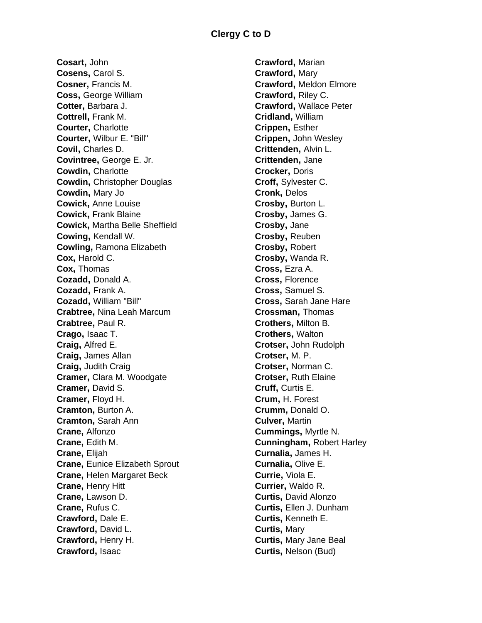**Cosart,** John **Cosens,** Carol S. **Cosner,** Francis M. **Coss,** George William **Cotter,** Barbara J. **Cottrell,** Frank M. **Courter,** Charlotte **Courter,** Wilbur E. "Bill" **Covil,** Charles D. **Covintree,** George E. Jr. **Cowdin,** Charlotte **Cowdin,** Christopher Douglas **Cowdin,** Mary Jo **Cowick,** Anne Louise **Cowick,** Frank Blaine **Cowick,** Martha Belle Sheffield **Cowing,** Kendall W. **Cowling,** Ramona Elizabeth **Cox,** Harold C. **Cox,** Thomas **Cozadd,** Donald A. **Cozadd,** Frank A. **Cozadd,** William "Bill" **Crabtree,** Nina Leah Marcum **Crabtree,** Paul R. **Crago,** Isaac T. **Craig,** Alfred E. **Craig,** James Allan **Craig,** Judith Craig **Cramer,** Clara M. Woodgate **Cramer,** David S. **Cramer,** Floyd H. **Cramton,** Burton A. **Cramton,** Sarah Ann **Crane,** Alfonzo **Crane,** Edith M. **Crane,** Elijah **Crane,** Eunice Elizabeth Sprout **Crane,** Helen Margaret Beck **Crane,** Henry Hitt **Crane,** Lawson D. **Crane,** Rufus C. **Crawford,** Dale E. **Crawford,** David L. **Crawford,** Henry H. **Crawford,** Isaac

**Crawford,** Marian **Crawford,** Mary **Crawford,** Meldon Elmore **Crawford,** Riley C. **Crawford,** Wallace Peter **Cridland,** William **Crippen,** Esther **Crippen,** John Wesley **Crittenden,** Alvin L. **Crittenden,** Jane **Crocker,** Doris **Croff,** Sylvester C. **Cronk,** Delos **Crosby,** Burton L. **Crosby,** James G. **Crosby,** Jane **Crosby,** Reuben **Crosby,** Robert **Crosby,** Wanda R. **Cross,** Ezra A. **Cross,** Florence **Cross,** Samuel S. **Cross,** Sarah Jane Hare **Crossman,** Thomas **Crothers,** Milton B. **Crothers,** Walton **Crotser,** John Rudolph **Crotser,** M. P. **Crotser,** Norman C. **Crotser,** Ruth Elaine **Cruff,** Curtis E. **Crum,** H. Forest **Crumm,** Donald O. **Culver,** Martin **Cummings,** Myrtle N. **Cunningham,** Robert Harley **Curnalia,** James H. **Curnalia,** Olive E. **Currie,** Viola E. **Currier,** Waldo R. **Curtis,** David Alonzo **Curtis,** Ellen J. Dunham **Curtis,** Kenneth E. **Curtis,** Mary **Curtis,** Mary Jane Beal **Curtis,** Nelson (Bud)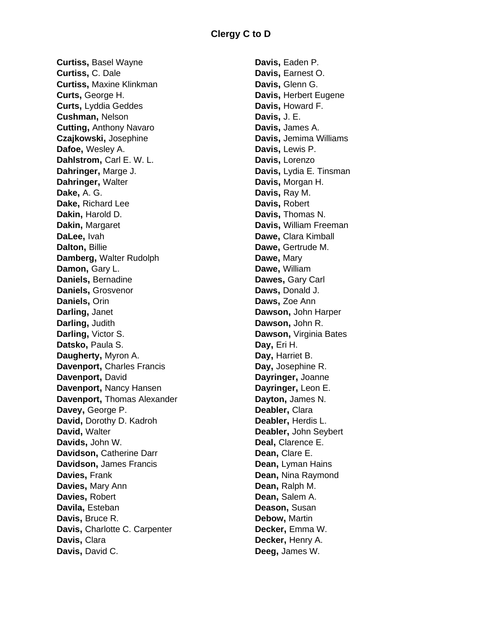## **Clergy C to D**

**Curtiss,** Basel Wayne **Curtiss,** C. Dale **Curtiss,** Maxine Klinkman **Curts,** George H. **Curts,** Lyddia Geddes **Cushman,** Nelson **Cutting,** Anthony Navaro **Czajkowski,** Josephine **Dafoe,** Wesley A. **Dahlstrom,** Carl E. W. L. **Dahringer,** Marge J. **Dahringer,** Walter **Dake,** A. G. **Dake,** Richard Lee **Dakin,** Harold D. **Dakin,** Margaret **DaLee,** Ivah **Dalton,** Billie **Damberg,** Walter Rudolph **Damon,** Gary L. **Daniels,** Bernadine **Daniels,** Grosvenor **Daniels,** Orin **Darling,** Janet **Darling,** Judith **Darling,** Victor S. **Datsko,** Paula S. **Daugherty,** Myron A. **Davenport,** Charles Francis **Davenport,** David **Davenport,** Nancy Hansen **Davenport,** Thomas Alexander **Davey,** George P. **David,** Dorothy D. Kadroh **David,** Walter **Davids,** John W. **Davidson,** Catherine Darr **Davidson,** James Francis **Davies,** Frank **Davies,** Mary Ann **Davies,** Robert **Davila,** Esteban **Davis,** Bruce R. **Davis,** Charlotte C. Carpenter **Davis,** Clara **Davis,** David C.

**Davis,** Eaden P. **Davis,** Earnest O. **Davis,** Glenn G. **Davis,** Herbert Eugene **Davis,** Howard F. **Davis,** J. E. **Davis,** James A. **Davis,** Jemima Williams **Davis,** Lewis P. **Davis,** Lorenzo **Davis,** Lydia E. Tinsman **Davis,** Morgan H. **Davis,** Ray M. **Davis,** Robert **Davis,** Thomas N. **Davis,** William Freeman **Dawe,** Clara Kimball **Dawe,** Gertrude M. **Dawe,** Mary **Dawe,** William **Dawes,** Gary Carl **Daws,** Donald J. **Daws,** Zoe Ann **Dawson,** John Harper **Dawson,** John R. **Dawson,** Virginia Bates **Day,** Eri H. **Day,** Harriet B. **Day,** Josephine R. **Dayringer,** Joanne **Dayringer,** Leon E. **Dayton,** James N. **Deabler,** Clara **Deabler,** Herdis L. **Deabler,** John Seybert **Deal,** Clarence E. **Dean,** Clare E. **Dean,** Lyman Hains **Dean,** Nina Raymond **Dean,** Ralph M. **Dean,** Salem A. **Deason,** Susan **Debow,** Martin **Decker,** Emma W. **Decker,** Henry A. **Deeg,** James W.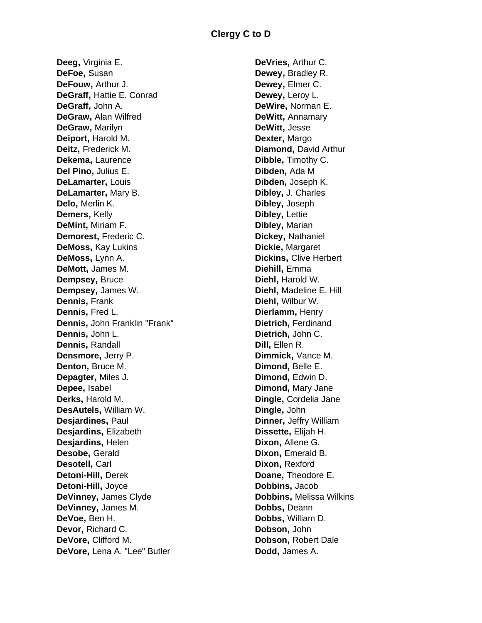**Deeg,** Virginia E. **DeFoe,** Susan **DeFouw,** Arthur J. **DeGraff,** Hattie E. Conrad **DeGraff,** John A. **DeGraw,** Alan Wilfred **DeGraw,** Marilyn **Deiport,** Harold M. **Deitz,** Frederick M. **Dekema,** Laurence **Del Pino,** Julius E. **DeLamarter,** Louis **DeLamarter,** Mary B. **Delo,** Merlin K. **Demers,** Kelly **DeMint,** Miriam F. **Demorest,** Frederic C. **DeMoss,** Kay Lukins **DeMoss,** Lynn A. **DeMott,** James M. **Dempsey,** Bruce **Dempsey,** James W. **Dennis,** Frank **Dennis,** Fred L. **Dennis,** John Franklin "Frank" **Dennis,** John L. **Dennis,** Randall **Densmore,** Jerry P. **Denton,** Bruce M. **Depagter,** Miles J. **Depee,** Isabel **Derks,** Harold M. **DesAutels,** William W. **Desjardines,** Paul **Desjardins,** Elizabeth **Desjardins,** Helen **Desobe,** Gerald **Desotell,** Carl **Detoni-Hill,** Derek **Detoni-Hill,** Joyce **DeVinney,** James Clyde **DeVinney,** James M. **DeVoe,** Ben H. **Devor,** Richard C. **DeVore,** Clifford M. **DeVore,** Lena A. "Lee" Butler

**DeVries,** Arthur C. **Dewey,** Bradley R. **Dewey,** Elmer C. **Dewey,** Leroy L. **DeWire,** Norman E. **DeWitt,** Annamary **DeWitt,** Jesse **Dexter,** Margo **Diamond,** David Arthur **Dibble,** Timothy C. **Dibden,** Ada M **Dibden,** Joseph K. **Dibley,** J. Charles **Dibley,** Joseph **Dibley,** Lettie **Dibley,** Marian **Dickey,** Nathaniel **Dickie,** Margaret **Dickins,** Clive Herbert **Diehill,** Emma **Diehl,** Harold W. **Diehl,** Madeline E. Hill **Diehl,** Wilbur W. **Dierlamm,** Henry **Dietrich,** Ferdinand **Dietrich,** John C. **Dill,** Ellen R. **Dimmick,** Vance M. **Dimond,** Belle E. **Dimond,** Edwin D. **Dimond,** Mary Jane **Dingle,** Cordelia Jane **Dingle,** John **Dinner,** Jeffry William **Dissette,** Elijah H. **Dixon,** Allene G. **Dixon, Emerald B. Dixon,** Rexford **Doane,** Theodore E. **Dobbins,** Jacob **Dobbins,** Melissa Wilkins **Dobbs,** Deann **Dobbs,** William D. **Dobson,** John **Dobson,** Robert Dale **Dodd,** James A.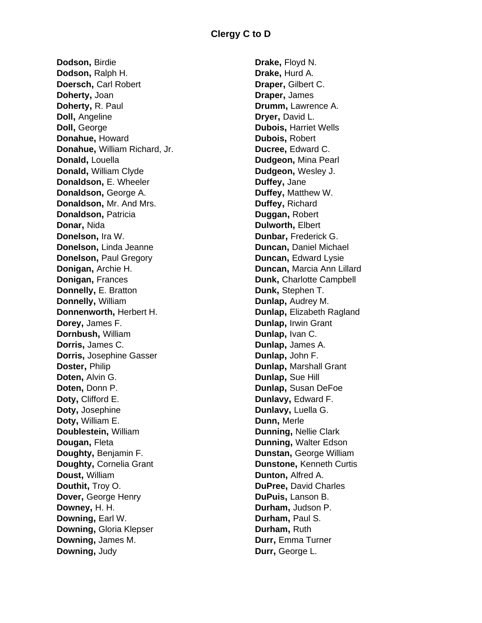**Dodson,** Birdie **Dodson,** Ralph H. **Doersch,** Carl Robert **Doherty,** Joan **Doherty,** R. Paul **Doll,** Angeline **Doll,** George **Donahue,** Howard **Donahue,** William Richard, Jr. **Donald,** Louella **Donald,** William Clyde **Donaldson,** E. Wheeler **Donaldson,** George A. **Donaldson,** Mr. And Mrs. **Donaldson,** Patricia **Donar,** Nida **Donelson,** Ira W. **Donelson,** Linda Jeanne **Donelson,** Paul Gregory **Donigan,** Archie H. **Donigan,** Frances **Donnelly,** E. Bratton **Donnelly,** William **Donnenworth,** Herbert H. **Dorey,** James F. **Dornbush,** William **Dorris,** James C. **Dorris,** Josephine Gasser **Doster,** Philip **Doten,** Alvin G. **Doten,** Donn P. **Doty,** Clifford E. **Doty,** Josephine **Doty,** William E. **Doublestein,** William **Dougan,** Fleta **Doughty,** Benjamin F. **Doughty,** Cornelia Grant **Doust,** William **Douthit,** Troy O. **Dover,** George Henry **Downey,** H. H. **Downing,** Earl W. **Downing,** Gloria Klepser **Downing,** James M. **Downing,** Judy

**Drake,** Floyd N. **Drake,** Hurd A. **Draper,** Gilbert C. **Draper,** James **Drumm,** Lawrence A. **Dryer,** David L. **Dubois,** Harriet Wells **Dubois,** Robert **Ducree,** Edward C. **Dudgeon,** Mina Pearl **Dudgeon,** Wesley J. **Duffey,** Jane **Duffey,** Matthew W. **Duffey,** Richard **Duggan,** Robert **Dulworth,** Elbert **Dunbar,** Frederick G. **Duncan,** Daniel Michael **Duncan, Edward Lysie Duncan,** Marcia Ann Lillard **Dunk,** Charlotte Campbell **Dunk,** Stephen T. **Dunlap,** Audrey M. **Dunlap,** Elizabeth Ragland **Dunlap,** Irwin Grant **Dunlap,** Ivan C. **Dunlap,** James A. **Dunlap,** John F. **Dunlap,** Marshall Grant **Dunlap,** Sue Hill **Dunlap,** Susan DeFoe **Dunlavy,** Edward F. **Dunlavy,** Luella G. **Dunn,** Merle **Dunning,** Nellie Clark **Dunning,** Walter Edson **Dunstan,** George William **Dunstone,** Kenneth Curtis **Dunton,** Alfred A. **DuPree,** David Charles **DuPuis,** Lanson B. **Durham,** Judson P. **Durham,** Paul S. **Durham,** Ruth **Durr,** Emma Turner **Durr,** George L.